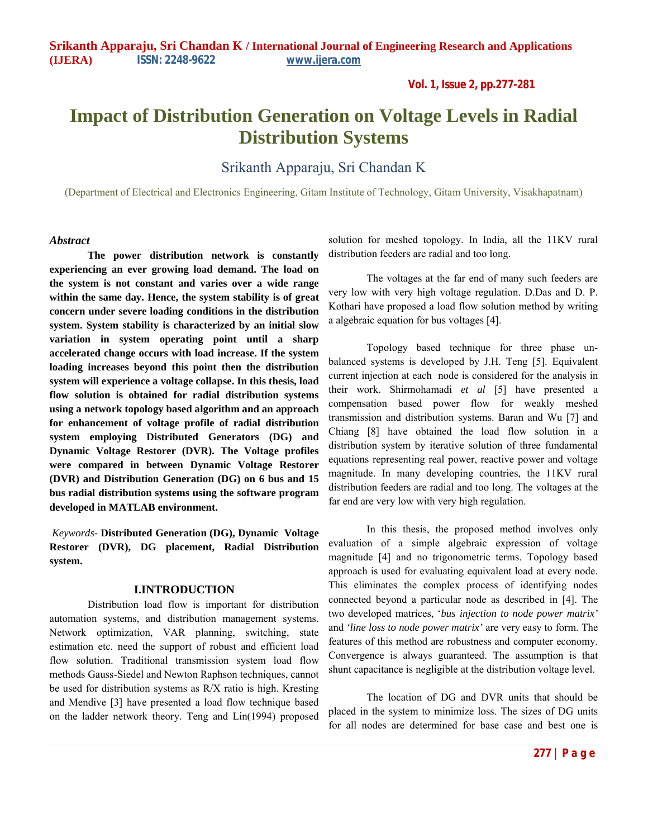**Vol. 1, Issue 2, pp.277-281**

# **Impact of Distribution Generation on Voltage Levels in Radial Distribution Systems**

Srikanth Apparaju, Sri Chandan K

(Department of Electrical and Electronics Engineering, Gitam Institute of Technology, Gitam University, Visakhapatnam)

## *Abstract*

**The power distribution network is constantly experiencing an ever growing load demand. The load on the system is not constant and varies over a wide range within the same day. Hence, the system stability is of great concern under severe loading conditions in the distribution system. System stability is characterized by an initial slow variation in system operating point until a sharp accelerated change occurs with load increase. If the system loading increases beyond this point then the distribution system will experience a voltage collapse. In this thesis, load flow solution is obtained for radial distribution systems using a network topology based algorithm and an approach for enhancement of voltage profile of radial distribution system employing Distributed Generators (DG) and Dynamic Voltage Restorer (DVR). The Voltage profiles were compared in between Dynamic Voltage Restorer (DVR) and Distribution Generation (DG) on 6 bus and 15 bus radial distribution systems using the software program developed in MATLAB environment.**

*Keywords-* **Distributed Generation (DG), Dynamic Voltage Restorer (DVR), DG placement, Radial Distribution system.**

## **I.INTRODUCTION**

Distribution load flow is important for distribution automation systems, and distribution management systems. Network optimization, VAR planning, switching, state estimation etc. need the support of robust and efficient load flow solution. Traditional transmission system load flow methods Gauss-Siedel and Newton Raphson techniques, cannot be used for distribution systems as R/X ratio is high. Kresting and Mendive [3] have presented a load flow technique based on the ladder network theory. Teng and Lin(1994) proposed solution for meshed topology. In India, all the 11KV rural distribution feeders are radial and too long.

The voltages at the far end of many such feeders are very low with very high voltage regulation. D.Das and D. P. Kothari have proposed a load flow solution method by writing a algebraic equation for bus voltages [4].

Topology based technique for three phase unbalanced systems is developed by J.H. Teng [5]. Equivalent current injection at each node is considered for the analysis in their work. Shirmohamadi *et al* [5] have presented a compensation based power flow for weakly meshed transmission and distribution systems. Baran and Wu [7] and Chiang [8] have obtained the load flow solution in a distribution system by iterative solution of three fundamental equations representing real power, reactive power and voltage magnitude. In many developing countries, the 11KV rural distribution feeders are radial and too long. The voltages at the far end are very low with very high regulation.

In this thesis, the proposed method involves only evaluation of a simple algebraic expression of voltage magnitude [4] and no trigonometric terms. Topology based approach is used for evaluating equivalent load at every node. This eliminates the complex process of identifying nodes connected beyond a particular node as described in [4]. The two developed matrices, '*bus injection to node power matrix'*  and *'line loss to node power matrix'* are very easy to form. The features of this method are robustness and computer economy. Convergence is always guaranteed. The assumption is that shunt capacitance is negligible at the distribution voltage level.

The location of DG and DVR units that should be placed in the system to minimize loss. The sizes of DG units for all nodes are determined for base case and best one is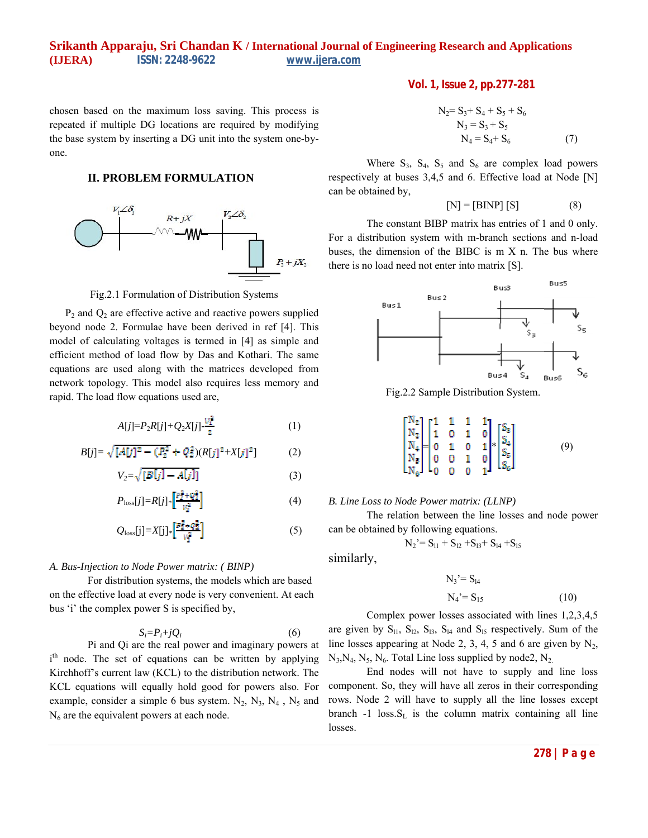chosen based on the maximum loss saving. This process is repeated if multiple DG locations are required by modifying the base system by inserting a DG unit into the system one-byone.

# **II. PROBLEM FORMULATION**



Fig.2.1 Formulation of Distribution Systems

 $P_2$  and  $Q_2$  are effective active and reactive powers supplied beyond node 2. Formulae have been derived in ref [4]. This model of calculating voltages is termed in [4] as simple and efficient method of load flow by Das and Kothari. The same equations are used along with the matrices developed from network topology. This model also requires less memory and rapid. The load flow equations used are,

$$
A[j] = P_2 R[j] + Q_2 X[j] - \frac{V_1^2}{2} \tag{1}
$$

$$
B[j] = \sqrt{[A[j]^2 - (P_2^2 + Q_2^2)(R[j]^2 + X[j]^2]}
$$
 (2)

$$
V_2 = \sqrt{[B[j] - A[j]]} \tag{3}
$$

$$
P_{\text{loss}}[j] = R[j] \ast \left[ \frac{\overline{r_1^2} + \overline{q_1^2}}{V_2^2} \right] \tag{4}
$$

$$
Q_{\text{loss}}[j] = X[j] \ast \left[ \frac{P_2^2 + Q_3^2}{V_2^2} \right] \tag{5}
$$

## *A. Bus-Injection to Node Power matrix: ( BINP)*

For distribution systems, the models which are based on the effective load at every node is very convenient. At each bus 'i' the complex power S is specified by,

$$
S_i = P_i + jQ_i \tag{6}
$$

Pi and Qi are the real power and imaginary powers at i<sup>th</sup> node. The set of equations can be written by applying Kirchhoff's current law (KCL) to the distribution network. The KCL equations will equally hold good for powers also. For example, consider a simple 6 bus system.  $N_2$ ,  $N_3$ ,  $N_4$ ,  $N_5$  and  $N_6$  are the equivalent powers at each node.

Vol. 1, Issue 2, pp.277-281  
\n
$$
N_2 = S_3 + S_4 + S_5 + S_6
$$
\n
$$
N_3 = S_3 + S_5
$$
\n
$$
N_4 = S_4 + S_6
$$
\n(7)

Where  $S_3$ ,  $S_4$ ,  $S_5$  and  $S_6$  are complex load powers respectively at buses 3,4,5 and 6. Effective load at Node [N] can be obtained by,

$$
[N] = [BINP] [S] \tag{8}
$$

The constant BIBP matrix has entries of 1 and 0 only. For a distribution system with m-branch sections and n-load buses, the dimension of the BIBC is m X n. The bus where there is no load need not enter into matrix [S].



Fig.2.2 Sample Distribution System.



## *B. Line Loss to Node Power matrix: (LLNP)*

The relation between the line losses and node power can be obtained by following equations.

$$
N_2 = S_{11} + S_{12} + S_{13} + S_{14} + S_{15}
$$

similarly,

$$
N_3' = S_{14}
$$
  

$$
N_4' = S_{15}
$$
 (10)

Complex power losses associated with lines 1,2,3,4,5 are given by  $S_{11}$ ,  $S_{12}$ ,  $S_{13}$ ,  $S_{14}$  and  $S_{15}$  respectively. Sum of the line losses appearing at Node 2, 3, 4, 5 and 6 are given by  $N_2$ ,  $N_3$ ,  $N_4$ ,  $N_5$ ,  $N_6$ . Total Line loss supplied by node2,  $N_2$ .

End nodes will not have to supply and line loss component. So, they will have all zeros in their corresponding rows. Node 2 will have to supply all the line losses except branch  $-1$  loss. $S_L$  is the column matrix containing all line losses.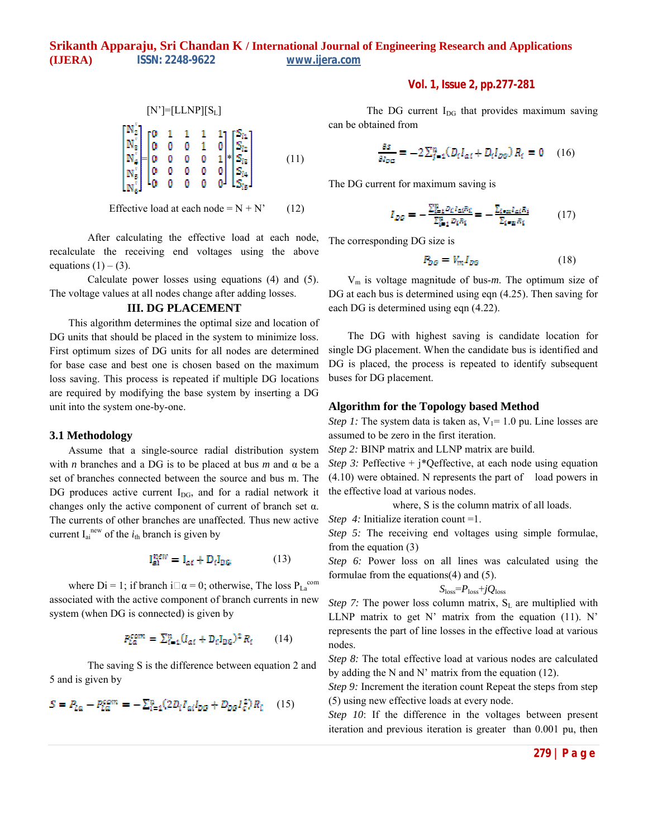$$
\begin{bmatrix} N' \end{bmatrix} = \begin{bmatrix} L \end{bmatrix} \begin{bmatrix} S_L \end{bmatrix}
$$
\n
$$
\begin{bmatrix} N_2' \\ N_3' \\ N_4' \\ N_5' \end{bmatrix} = \begin{bmatrix} 0 & 1 & 1 & 1 & 1 \\ 0 & 0 & 0 & 1 & 0 \\ 0 & 0 & 0 & 0 & 1 \\ 0 & 0 & 0 & 0 & 0 \\ 0 & 0 & 0 & 0 & 0 \end{bmatrix} \begin{bmatrix} S_{12} \\ S_{12} \\ S_{13} \\ S_{14} \\ S_{15} \end{bmatrix}
$$
\n
$$
(11)
$$

Effective load at each node =  $N + N'$  (12)

After calculating the effective load at each node, recalculate the receiving end voltages using the above equations  $(1) - (3)$ .

Calculate power losses using equations (4) and (5). The voltage values at all nodes change after adding losses.

# **III. DG PLACEMENT**

This algorithm determines the optimal size and location of DG units that should be placed in the system to minimize loss. First optimum sizes of DG units for all nodes are determined for base case and best one is chosen based on the maximum loss saving. This process is repeated if multiple DG locations are required by modifying the base system by inserting a DG unit into the system one-by-one.

## **3.1 Methodology**

Assume that a single-source radial distribution system with *n* branches and a DG is to be placed at bus *m* and  $\alpha$  be a set of branches connected between the source and bus m. The DG produces active current  $I_{DG}$ , and for a radial network it changes only the active component of current of branch set α. The currents of other branches are unaffected. Thus new active current  $I_{ai}^{new}$  of the  $i_{th}$  branch is given by

$$
\mathbf{I}_{\text{ai}}^{\text{new}} = \mathbf{I}_{\text{ai}} + \mathbf{D}_i \mathbf{I}_{\text{DG}} \tag{13}
$$

where Di = 1; if branch i $\square \alpha = 0$ ; otherwise, The loss  $P_{La}^{com}$ associated with the active component of branch currents in new system (when DG is connected) is given by

$$
P_{La}^{com} = \sum_{i=1}^{n} (I_{ai} + D_{i}I_{DG})^{2} R_{i} \qquad (14)
$$

The saving S is the difference between equation 2 and 5 and is given by

$$
S = P_{L0} - P_{L0}^{com} = -\sum_{i=1}^{n} (2D_i I_{ai} I_{DG} + D_{DG} I_{C}^2) R_i \tag{15}
$$

**Vol. 1, Issue 2, pp.277-281**

The DG current  $I_{DG}$  that provides maximum saving can be obtained from

$$
\frac{\partial s}{\partial t_{DE}} = -2\sum_{j=1}^{n} (D_i I_{ai} + D_i I_{DE}) R_i = 0 \quad (16)
$$

The DG current for maximum saving is

$$
I_{D0} = -\frac{\sum_{i=1}^{n} p_{i} I_{\alpha i} R_{i}}{\sum_{i=1}^{n} p_{i} R_{i}} = -\frac{\sum_{i \in \mathbb{Z}} I_{\alpha i} R_{i}}{\sum_{i \in \mathbb{Z}} R_{i}} \qquad (17)
$$

The corresponding DG size is

$$
P_{DG} = V_m I_{DG} \tag{18}
$$

Vm is voltage magnitude of bus-*m*. The optimum size of DG at each bus is determined using eqn  $(4.25)$ . Then saving for each DG is determined using eqn (4.22).

The DG with highest saving is candidate location for single DG placement. When the candidate bus is identified and DG is placed, the process is repeated to identify subsequent buses for DG placement.

#### **Algorithm for the Topology based Method**

*Step 1:* The system data is taken as,  $V_1 = 1.0$  pu. Line losses are assumed to be zero in the first iteration.

*Step 2:* BINP matrix and LLNP matrix are build.

*Step 3:* Peffective + j\*Qeffective, at each node using equation (4.10) were obtained. N represents the part of load powers in the effective load at various nodes.

where, S is the column matrix of all loads.

*Step 4:* Initialize iteration count =1.

*Step 5:* The receiving end voltages using simple formulae, from the equation (3)

*Step 6:* Power loss on all lines was calculated using the formulae from the equations(4) and (5).

$$
S_{\rm loss} = P_{\rm loss} + jQ_{\rm loss}
$$

*Step 7:* The power loss column matrix,  $S_L$  are multiplied with LLNP matrix to get N' matrix from the equation (11). N' represents the part of line losses in the effective load at various nodes.

*Step 8:* The total effective load at various nodes are calculated by adding the N and N' matrix from the equation  $(12)$ .

*Step 9:* Increment the iteration count Repeat the steps from step (5) using new effective loads at every node.

*Step 10*: If the difference in the voltages between present iteration and previous iteration is greater than 0.001 pu, then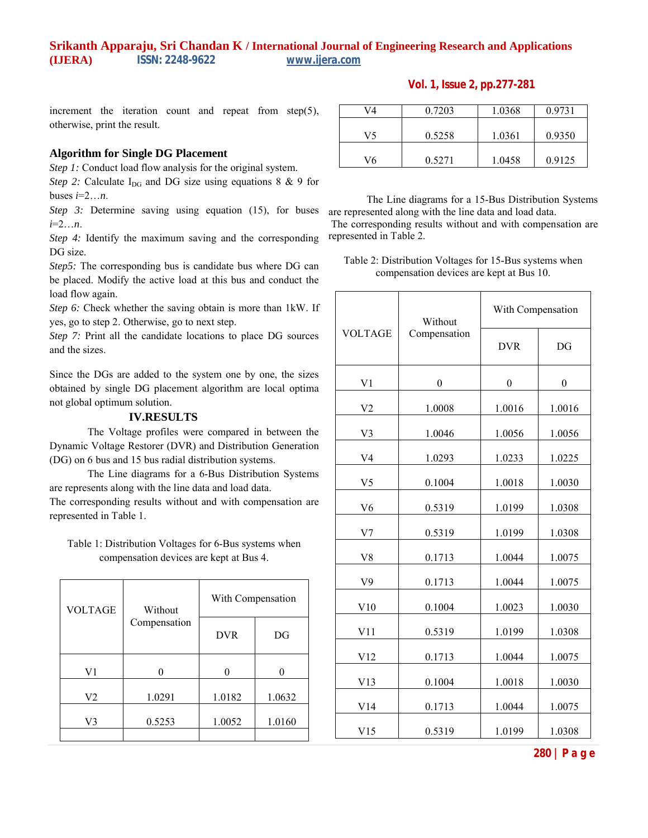# **Vol. 1, Issue 2, pp.277-281**

increment the iteration count and repeat from step(5), otherwise, print the result.

# **Algorithm for Single DG Placement**

*Step 1:* Conduct load flow analysis for the original system.

*Step 2:* Calculate  $I_{DG}$  and DG size using equations 8 & 9 for buses  $i=2...n$ .

*Step 3:* Determine saving using equation (15), for buses *i*=2…*n*.

*Step 4:* Identify the maximum saving and the corresponding DG size.

*Step5*: The corresponding bus is candidate bus where DG can be placed. Modify the active load at this bus and conduct the load flow again.

*Step 6:* Check whether the saving obtain is more than 1kW. If yes, go to step 2. Otherwise, go to next step.

*Step 7:* Print all the candidate locations to place DG sources and the sizes.

Since the DGs are added to the system one by one, the sizes obtained by single DG placement algorithm are local optima not global optimum solution.

#### **IV.RESULTS**

The Voltage profiles were compared in between the Dynamic Voltage Restorer (DVR) and Distribution Generation (DG) on 6 bus and 15 bus radial distribution systems.

The Line diagrams for a 6-Bus Distribution Systems are represents along with the line data and load data.

The corresponding results without and with compensation are represented in Table 1.

Table 1: Distribution Voltages for 6-Bus systems when compensation devices are kept at Bus 4.

| <b>VOLTAGE</b> | Without<br>Compensation | With Compensation |        |
|----------------|-------------------------|-------------------|--------|
|                |                         | <b>DVR</b>        | DG     |
| V1             |                         |                   |        |
| V <sub>2</sub> | 1.0291                  | 1.0182            | 1.0632 |
| V3             | 0.5253                  | 1.0052            | 1.0160 |
|                |                         |                   |        |

| V4 | 0.7203 | 1.0368 | 0.9731 |
|----|--------|--------|--------|
| V5 | 0.5258 | 1.0361 | 0.9350 |
| V6 | 0.5271 | 1.0458 | 0.9125 |

The Line diagrams for a 15-Bus Distribution Systems are represented along with the line data and load data. The corresponding results without and with compensation are

Table 2: Distribution Voltages for 15-Bus systems when compensation devices are kept at Bus 10.

represented in Table 2.

| <b>VOLTAGE</b> | Without<br>Compensation | With Compensation |                |
|----------------|-------------------------|-------------------|----------------|
|                |                         | <b>DVR</b>        | DG             |
| V <sub>1</sub> | $\boldsymbol{0}$        | $\boldsymbol{0}$  | $\overline{0}$ |
| V2             | 1.0008                  | 1.0016            | 1.0016         |
| V3             | 1.0046                  | 1.0056            | 1.0056         |
| V4             | 1.0293                  | 1.0233            | 1.0225         |
| V <sub>5</sub> | 0.1004                  | 1.0018            | 1.0030         |
| V <sub>6</sub> | 0.5319                  | 1.0199            | 1.0308         |
| V <sub>7</sub> | 0.5319                  | 1.0199            | 1.0308         |
| V8             | 0.1713                  | 1.0044            | 1.0075         |
| V9             | 0.1713                  | 1.0044            | 1.0075         |
| V10            | 0.1004                  | 1.0023            | 1.0030         |
| V11            | 0.5319                  | 1.0199            | 1.0308         |
| V12            | 0.1713                  | 1.0044            | 1.0075         |
| V13            | 0.1004                  | 1.0018            | 1.0030         |
| V14            | 0.1713                  | 1.0044            | 1.0075         |
| V15            | 0.5319                  | 1.0199            | 1.0308         |

**280 | P a g e**